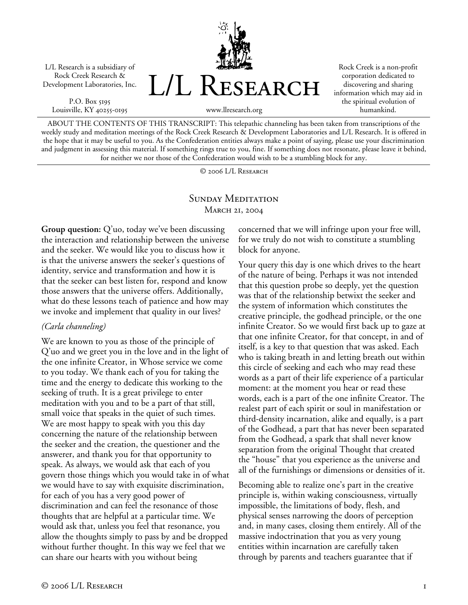L/L Research is a subsidiary of Rock Creek Research & Development Laboratories, Inc.

P.O. Box 5195 Louisville, KY 40255-0195



Rock Creek is a non-profit corporation dedicated to discovering and sharing information which may aid in the spiritual evolution of humankind.

www.llresearch.org

ABOUT THE CONTENTS OF THIS TRANSCRIPT: This telepathic channeling has been taken from transcriptions of the weekly study and meditation meetings of the Rock Creek Research & Development Laboratories and L/L Research. It is offered in the hope that it may be useful to you. As the Confederation entities always make a point of saying, please use your discrimination and judgment in assessing this material. If something rings true to you, fine. If something does not resonate, please leave it behind, for neither we nor those of the Confederation would wish to be a stumbling block for any.

© 2006 L/L Research

## SUNDAY MEDITATION MARCH 21, 2004

**Group question:** Q'uo, today we've been discussing the interaction and relationship between the universe and the seeker. We would like you to discuss how it is that the universe answers the seeker's questions of identity, service and transformation and how it is that the seeker can best listen for, respond and know those answers that the universe offers. Additionally, what do these lessons teach of patience and how may we invoke and implement that quality in our lives?

## *(Carla channeling)*

We are known to you as those of the principle of Q'uo and we greet you in the love and in the light of the one infinite Creator, in Whose service we come to you today. We thank each of you for taking the time and the energy to dedicate this working to the seeking of truth. It is a great privilege to enter meditation with you and to be a part of that still, small voice that speaks in the quiet of such times. We are most happy to speak with you this day concerning the nature of the relationship between the seeker and the creation, the questioner and the answerer, and thank you for that opportunity to speak. As always, we would ask that each of you govern those things which you would take in of what we would have to say with exquisite discrimination, for each of you has a very good power of discrimination and can feel the resonance of those thoughts that are helpful at a particular time. We would ask that, unless you feel that resonance, you allow the thoughts simply to pass by and be dropped without further thought. In this way we feel that we can share our hearts with you without being

concerned that we will infringe upon your free will, for we truly do not wish to constitute a stumbling block for anyone.

Your query this day is one which drives to the heart of the nature of being. Perhaps it was not intended that this question probe so deeply, yet the question was that of the relationship betwixt the seeker and the system of information which constitutes the creative principle, the godhead principle, or the one infinite Creator. So we would first back up to gaze at that one infinite Creator, for that concept, in and of itself, is a key to that question that was asked. Each who is taking breath in and letting breath out within this circle of seeking and each who may read these words as a part of their life experience of a particular moment: at the moment you hear or read these words, each is a part of the one infinite Creator. The realest part of each spirit or soul in manifestation or third-density incarnation, alike and equally, is a part of the Godhead, a part that has never been separated from the Godhead, a spark that shall never know separation from the original Thought that created the "house" that you experience as the universe and all of the furnishings or dimensions or densities of it.

Becoming able to realize one's part in the creative principle is, within waking consciousness, virtually impossible, the limitations of body, flesh, and physical senses narrowing the doors of perception and, in many cases, closing them entirely. All of the massive indoctrination that you as very young entities within incarnation are carefully taken through by parents and teachers guarantee that if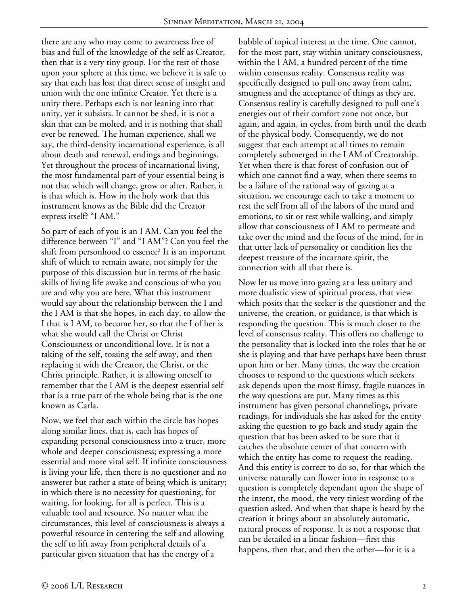there are any who may come to awareness free of bias and full of the knowledge of the self as Creator, then that is a very tiny group. For the rest of those upon your sphere at this time, we believe it is safe to say that each has lost that direct sense of insight and union with the one infinite Creator. Yet there is a unity there. Perhaps each is not leaning into that unity, yet it subsists. It cannot be shed, it is not a skin that can be molted, and it is nothing that shall ever be renewed. The human experience, shall we say, the third-density incarnational experience, is all about death and renewal, endings and beginnings. Yet throughout the process of incarnational living, the most fundamental part of your essential being is not that which will change, grow or alter. Rather, it is that which is. How in the holy work that this instrument knows as the Bible did the Creator express itself? "I AM."

So part of each of you is an I AM. Can you feel the difference between "I" and "I AM"? Can you feel the shift from personhood to essence? It is an important shift of which to remain aware, not simply for the purpose of this discussion but in terms of the basic skills of living life awake and conscious of who you are and why you are here. What this instrument would say about the relationship between the I and the I AM is that she hopes, in each day, to allow the I that is I AM, to become her, so that the I of her is what she would call the Christ or Christ Consciousness or unconditional love. It is not a taking of the self, tossing the self away, and then replacing it with the Creator, the Christ, or the Christ principle. Rather, it is allowing oneself to remember that the I AM is the deepest essential self that is a true part of the whole being that is the one known as Carla.

Now, we feel that each within the circle has hopes along similar lines, that is, each has hopes of expanding personal consciousness into a truer, more whole and deeper consciousness; expressing a more essential and more vital self. If infinite consciousness is living your life, then there is no questioner and no answerer but rather a state of being which is unitary; in which there is no necessity for questioning, for waiting, for looking, for all is perfect. This is a valuable tool and resource. No matter what the circumstances, this level of consciousness is always a powerful resource in centering the self and allowing the self to lift away from peripheral details of a particular given situation that has the energy of a

bubble of topical interest at the time. One cannot, for the most part, stay within unitary consciousness, within the I AM, a hundred percent of the time within consensus reality. Consensus reality was specifically designed to pull one away from calm, smugness and the acceptance of things as they are. Consensus reality is carefully designed to pull one's energies out of their comfort zone not once, but again, and again, in cycles, from birth until the death of the physical body. Consequently, we do not suggest that each attempt at all times to remain completely submerged in the I AM of Creatorship. Yet when there is that forest of confusion out of which one cannot find a way, when there seems to be a failure of the rational way of gazing at a situation, we encourage each to take a moment to rest the self from all of the labors of the mind and emotions, to sit or rest while walking, and simply allow that consciousness of I AM to permeate and take over the mind and the focus of the mind, for in that utter lack of personality or condition lies the deepest treasure of the incarnate spirit, the connection with all that there is.

Now let us move into gazing at a less unitary and more dualistic view of spiritual process, that view which posits that the seeker is the questioner and the universe, the creation, or guidance, is that which is responding the question. This is much closer to the level of consensus reality. This offers no challenge to the personality that is locked into the roles that he or she is playing and that have perhaps have been thrust upon him or her. Many times, the way the creation chooses to respond to the questions which seekers ask depends upon the most flimsy, fragile nuances in the way questions are put. Many times as this instrument has given personal channelings, private readings, for individuals she has asked for the entity asking the question to go back and study again the question that has been asked to be sure that it catches the absolute center of that concern with which the entity has come to request the reading. And this entity is correct to do so, for that which the universe naturally can flower into in response to a question is completely dependant upon the shape of the intent, the mood, the very tiniest wording of the question asked. And when that shape is heard by the creation it brings about an absolutely automatic, natural process of response. It is not a response that can be detailed in a linear fashion—first this happens, then that, and then the other—for it is a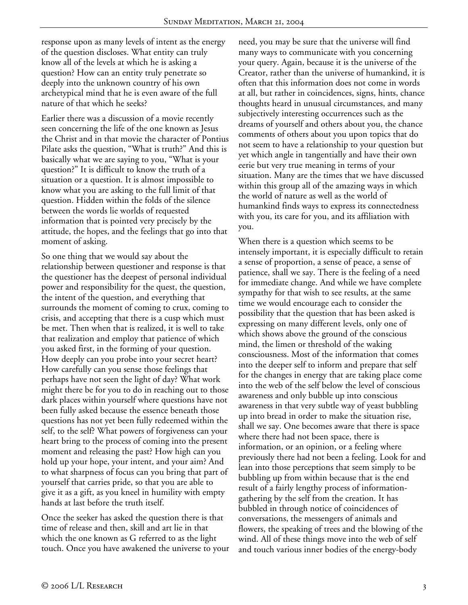response upon as many levels of intent as the energy of the question discloses. What entity can truly know all of the levels at which he is asking a question? How can an entity truly penetrate so deeply into the unknown country of his own archetypical mind that he is even aware of the full nature of that which he seeks?

Earlier there was a discussion of a movie recently seen concerning the life of the one known as Jesus the Christ and in that movie the character of Pontius Pilate asks the question, "What is truth?" And this is basically what we are saying to you, "What is your question?" It is difficult to know the truth of a situation or a question. It is almost impossible to know what you are asking to the full limit of that question. Hidden within the folds of the silence between the words lie worlds of requested information that is pointed very precisely by the attitude, the hopes, and the feelings that go into that moment of asking.

So one thing that we would say about the relationship between questioner and response is that the questioner has the deepest of personal individual power and responsibility for the quest, the question, the intent of the question, and everything that surrounds the moment of coming to crux, coming to crisis, and accepting that there is a cusp which must be met. Then when that is realized, it is well to take that realization and employ that patience of which you asked first, in the forming of your question. How deeply can you probe into your secret heart? How carefully can you sense those feelings that perhaps have not seen the light of day? What work might there be for you to do in reaching out to those dark places within yourself where questions have not been fully asked because the essence beneath those questions has not yet been fully redeemed within the self, to the self? What powers of forgiveness can your heart bring to the process of coming into the present moment and releasing the past? How high can you hold up your hope, your intent, and your aim? And to what sharpness of focus can you bring that part of yourself that carries pride, so that you are able to give it as a gift, as you kneel in humility with empty hands at last before the truth itself.

Once the seeker has asked the question there is that time of release and then, skill and art lie in that which the one known as G referred to as the light touch. Once you have awakened the universe to your need, you may be sure that the universe will find many ways to communicate with you concerning your query. Again, because it is the universe of the Creator, rather than the universe of humankind, it is often that this information does not come in words at all, but rather in coincidences, signs, hints, chance thoughts heard in unusual circumstances, and many subjectively interesting occurrences such as the dreams of yourself and others about you, the chance comments of others about you upon topics that do not seem to have a relationship to your question but yet which angle in tangentially and have their own eerie but very true meaning in terms of your situation. Many are the times that we have discussed within this group all of the amazing ways in which the world of nature as well as the world of humankind finds ways to express its connectedness with you, its care for you, and its affiliation with you.

When there is a question which seems to be intensely important, it is especially difficult to retain a sense of proportion, a sense of peace, a sense of patience, shall we say. There is the feeling of a need for immediate change. And while we have complete sympathy for that wish to see results, at the same time we would encourage each to consider the possibility that the question that has been asked is expressing on many different levels, only one of which shows above the ground of the conscious mind, the limen or threshold of the waking consciousness. Most of the information that comes into the deeper self to inform and prepare that self for the changes in energy that are taking place come into the web of the self below the level of conscious awareness and only bubble up into conscious awareness in that very subtle way of yeast bubbling up into bread in order to make the situation rise, shall we say. One becomes aware that there is space where there had not been space, there is information, or an opinion, or a feeling where previously there had not been a feeling. Look for and lean into those perceptions that seem simply to be bubbling up from within because that is the end result of a fairly lengthy process of informationgathering by the self from the creation. It has bubbled in through notice of coincidences of conversations, the messengers of animals and flowers, the speaking of trees and the blowing of the wind. All of these things move into the web of self and touch various inner bodies of the energy-body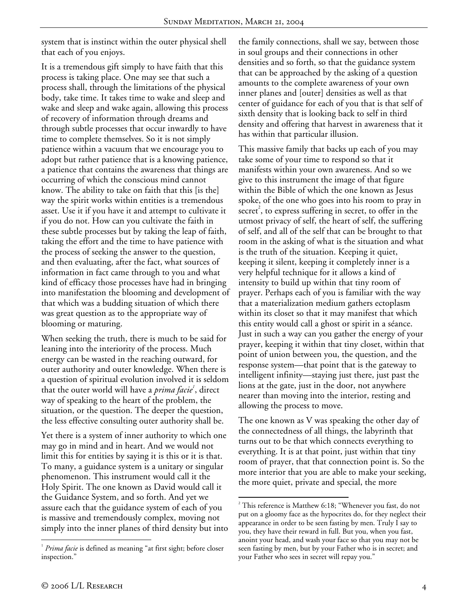system that is instinct within the outer physical shell that each of you enjoys.

It is a tremendous gift simply to have faith that this process is taking place. One may see that such a process shall, through the limitations of the physical body, take time. It takes time to wake and sleep and wake and sleep and wake again, allowing this process of recovery of information through dreams and through subtle processes that occur inwardly to have time to complete themselves. So it is not simply patience within a vacuum that we encourage you to adopt but rather patience that is a knowing patience, a patience that contains the awareness that things are occurring of which the conscious mind cannot know. The ability to take on faith that this [is the] way the spirit works within entities is a tremendous asset. Use it if you have it and attempt to cultivate it if you do not. How can you cultivate the faith in these subtle processes but by taking the leap of faith, taking the effort and the time to have patience with the process of seeking the answer to the question, and then evaluating, after the fact, what sources of information in fact came through to you and what kind of efficacy those processes have had in bringing into manifestation the blooming and development of that which was a budding situation of which there was great question as to the appropriate way of blooming or maturing.

When seeking the truth, there is much to be said for leaning into the interiority of the process. Much energy can be wasted in the reaching outward, for outer authority and outer knowledge. When there is a question of spiritual evolution involved it is seldom that the outer world will have a *prima facie<sup>1</sup>*, direct way of speaking to the heart of the problem, the situation, or the question. The deeper the question, the less effective consulting outer authority shall be.

Yet there is a system of inner authority to which one may go in mind and in heart. And we would not limit this for entities by saying it is this or it is that. To many, a guidance system is a unitary or singular phenomenon. This instrument would call it the Holy Spirit. The one known as David would call it the Guidance System, and so forth. And yet we assure each that the guidance system of each of you is massive and tremendously complex, moving not simply into the inner planes of third density but into the family connections, shall we say, between those in soul groups and their connections in other densities and so forth, so that the guidance system that can be approached by the asking of a question amounts to the complete awareness of your own inner planes and [outer] densities as well as that center of guidance for each of you that is that self of sixth density that is looking back to self in third density and offering that harvest in awareness that it has within that particular illusion.

This massive family that backs up each of you may take some of your time to respond so that it manifests within your own awareness. And so we give to this instrument the image of that figure within the Bible of which the one known as Jesus spoke, of the one who goes into his room to pray in  $\mathrm{secret}^2$ , to express suffering in secret, to offer in the utmost privacy of self, the heart of self, the suffering of self, and all of the self that can be brought to that room in the asking of what is the situation and what is the truth of the situation. Keeping it quiet, keeping it silent, keeping it completely inner is a very helpful technique for it allows a kind of intensity to build up within that tiny room of prayer. Perhaps each of you is familiar with the way that a materialization medium gathers ectoplasm within its closet so that it may manifest that which this entity would call a ghost or spirit in a séance. Just in such a way can you gather the energy of your prayer, keeping it within that tiny closet, within that point of union between you, the question, and the response system—that point that is the gateway to intelligent infinity—staying just there, just past the lions at the gate, just in the door, not anywhere nearer than moving into the interior, resting and allowing the process to move.

The one known as V was speaking the other day of the connectedness of all things, the labyrinth that turns out to be that which connects everything to everything. It is at that point, just within that tiny room of prayer, that that connection point is. So the more interior that you are able to make your seeking, the more quiet, private and special, the more

 $\overline{a}$ 

1

<sup>&</sup>lt;sup>1</sup> Prima facie is defined as meaning "at first sight; before closer inspection."

 $2^{2}$  This reference is Matthew 6:18; "Whenever you fast, do not put on a gloomy face as the hypocrites do, for they neglect their appearance in order to be seen fasting by men. Truly I say to you, they have their reward in full. But you, when you fast, anoint your head, and wash your face so that you may not be seen fasting by men, but by your Father who is in secret; and your Father who sees in secret will repay you."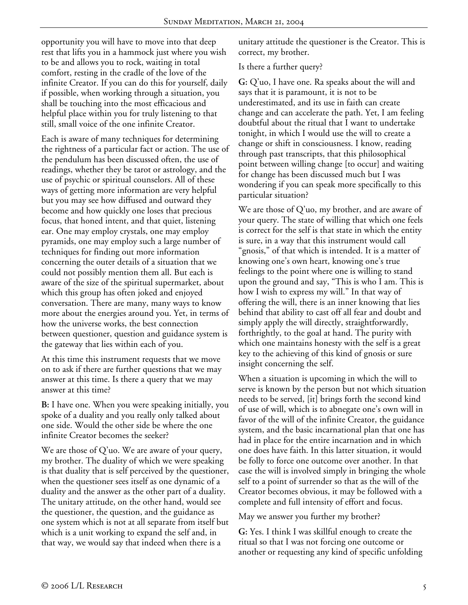opportunity you will have to move into that deep rest that lifts you in a hammock just where you wish to be and allows you to rock, waiting in total comfort, resting in the cradle of the love of the infinite Creator. If you can do this for yourself, daily if possible, when working through a situation, you shall be touching into the most efficacious and helpful place within you for truly listening to that still, small voice of the one infinite Creator.

Each is aware of many techniques for determining the rightness of a particular fact or action. The use of the pendulum has been discussed often, the use of readings, whether they be tarot or astrology, and the use of psychic or spiritual counselors. All of these ways of getting more information are very helpful but you may see how diffused and outward they become and how quickly one loses that precious focus, that honed intent, and that quiet, listening ear. One may employ crystals, one may employ pyramids, one may employ such a large number of techniques for finding out more information concerning the outer details of a situation that we could not possibly mention them all. But each is aware of the size of the spiritual supermarket, about which this group has often joked and enjoyed conversation. There are many, many ways to know more about the energies around you. Yet, in terms of how the universe works, the best connection between questioner, question and guidance system is the gateway that lies within each of you.

At this time this instrument requests that we move on to ask if there are further questions that we may answer at this time. Is there a query that we may answer at this time?

**B:** I have one. When you were speaking initially, you spoke of a duality and you really only talked about one side. Would the other side be where the one infinite Creator becomes the seeker?

We are those of Q'uo. We are aware of your query, my brother. The duality of which we were speaking is that duality that is self perceived by the questioner, when the questioner sees itself as one dynamic of a duality and the answer as the other part of a duality. The unitary attitude, on the other hand, would see the questioner, the question, and the guidance as one system which is not at all separate from itself but which is a unit working to expand the self and, in that way, we would say that indeed when there is a

unitary attitude the questioner is the Creator. This is correct, my brother.

## Is there a further query?

**G:** Q'uo, I have one. Ra speaks about the will and says that it is paramount, it is not to be underestimated, and its use in faith can create change and can accelerate the path. Yet, I am feeling doubtful about the ritual that I want to undertake tonight, in which I would use the will to create a change or shift in consciousness. I know, reading through past transcripts, that this philosophical point between willing change [to occur] and waiting for change has been discussed much but I was wondering if you can speak more specifically to this particular situation?

We are those of Q'uo, my brother, and are aware of your query. The state of willing that which one feels is correct for the self is that state in which the entity is sure, in a way that this instrument would call "gnosis," of that which is intended. It is a matter of knowing one's own heart, knowing one's true feelings to the point where one is willing to stand upon the ground and say, "This is who I am. This is how I wish to express my will." In that way of offering the will, there is an inner knowing that lies behind that ability to cast off all fear and doubt and simply apply the will directly, straightforwardly, forthrightly, to the goal at hand. The purity with which one maintains honesty with the self is a great key to the achieving of this kind of gnosis or sure insight concerning the self.

When a situation is upcoming in which the will to serve is known by the person but not which situation needs to be served, [it] brings forth the second kind of use of will, which is to abnegate one's own will in favor of the will of the infinite Creator, the guidance system, and the basic incarnational plan that one has had in place for the entire incarnation and in which one does have faith. In this latter situation, it would be folly to force one outcome over another. In that case the will is involved simply in bringing the whole self to a point of surrender so that as the will of the Creator becomes obvious, it may be followed with a complete and full intensity of effort and focus.

May we answer you further my brother?

**G:** Yes. I think I was skillful enough to create the ritual so that I was not forcing one outcome or another or requesting any kind of specific unfolding